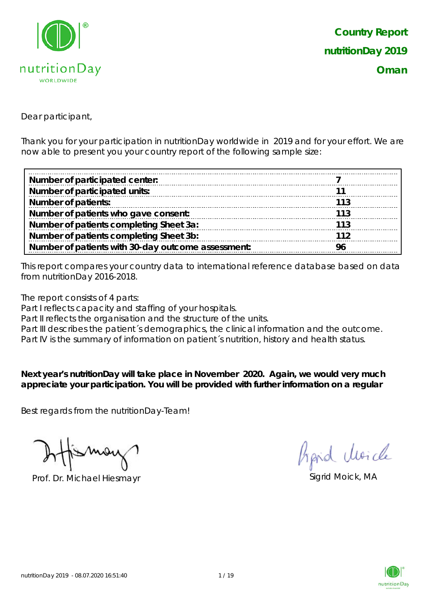

Dear participant,

Thank you for your participation in nutritionDay worldwide in 2019 and for your effort. We are now able to present you your country report of the following sample size:

| Number of participated center:                     |     |
|----------------------------------------------------|-----|
| Number of participated units:                      |     |
| <b>Number of patients:</b>                         | 113 |
| Number of patients who gave consent:               | 113 |
| Number of patients completing Sheet 3a:            | 113 |
| Number of patients completing Sheet 3b:            | 112 |
| Number of patients with 30-day outcome assessment: | 96  |

This report compares your country data to international reference database based on data from nutritionDay 2016-2018.

The report consists of 4 parts:

Part I reflects capacity and staffing of your hospitals.

Part II reflects the organisation and the structure of the units.

Part III describes the patient's demographics, the clinical information and the outcome.

Part IV is the summary of information on patient´s nutrition, history and health status.

**Next year's nutritionDay will take place in November 2020. Again, we would very much appreciate your participation. You will be provided with further information on a regular** 

Best regards from the nutritionDay-Team!

Prof. Dr. Michael Hiesmayr Sigrid Moick, MA

hand clearcle

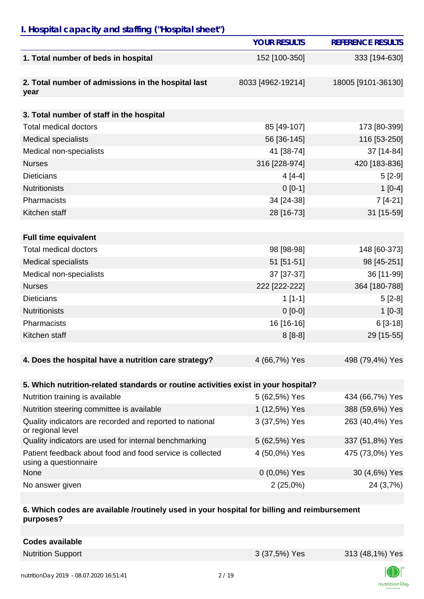# *I. Hospital capacity and staffing ("Hospital sheet")*

|                                                                                    | <b>YOUR RESULTS</b> | <b>REFERENCE RESULTS</b> |
|------------------------------------------------------------------------------------|---------------------|--------------------------|
| 1. Total number of beds in hospital                                                | 152 [100-350]       | 333 [194-630]            |
| 2. Total number of admissions in the hospital last<br>year                         | 8033 [4962-19214]   | 18005 [9101-36130]       |
| 3. Total number of staff in the hospital                                           |                     |                          |
| <b>Total medical doctors</b>                                                       | 85 [49-107]         | 173 [80-399]             |
| <b>Medical specialists</b>                                                         | 56 [36-145]         | 116 [53-250]             |
| Medical non-specialists                                                            | 41 [38-74]          | 37 [14-84]               |
| <b>Nurses</b>                                                                      | 316 [228-974]       | 420 [183-836]            |
| <b>Dieticians</b>                                                                  | $4[4-4]$            | $5[2-9]$                 |
| <b>Nutritionists</b>                                                               | $0 [0-1]$           | $1[0-4]$                 |
| Pharmacists                                                                        | 34 [24-38]          | $7[4-21]$                |
| Kitchen staff                                                                      | 28 [16-73]          | 31 [15-59]               |
|                                                                                    |                     |                          |
| <b>Full time equivalent</b>                                                        |                     |                          |
| <b>Total medical doctors</b>                                                       | 98 [98-98]          | 148 [60-373]             |
| <b>Medical specialists</b>                                                         | 51 [51-51]          | 98 [45-251]              |
| Medical non-specialists                                                            | 37 [37-37]          | 36 [11-99]               |
| <b>Nurses</b>                                                                      | 222 [222-222]       | 364 [180-788]            |
| <b>Dieticians</b>                                                                  | $1[1-1]$            | $5[2-8]$                 |
| <b>Nutritionists</b>                                                               | $0[0-0]$            | $1[0-3]$                 |
| Pharmacists                                                                        | 16 [16-16]          | $6[3-18]$                |
| Kitchen staff                                                                      | $8[8-8]$            | 29 [15-55]               |
| 4. Does the hospital have a nutrition care strategy?                               | 4 (66,7%) Yes       | 498 (79,4%) Yes          |
|                                                                                    |                     |                          |
| 5. Which nutrition-related standards or routine activities exist in your hospital? |                     |                          |
| Nutrition training is available                                                    | 5 (62,5%) Yes       | 434 (66,7%) Yes          |
| Nutrition steering committee is available                                          | 1 (12,5%) Yes       | 388 (59,6%) Yes          |
| Quality indicators are recorded and reported to national<br>or regional level      | 3 (37,5%) Yes       | 263 (40,4%) Yes          |
| Quality indicators are used for internal benchmarking                              | 5 (62,5%) Yes       | 337 (51,8%) Yes          |
| Patient feedback about food and food service is collected<br>using a questionnaire | 4 (50,0%) Yes       | 475 (73,0%) Yes          |
| None                                                                               | $0(0,0\%)$ Yes      | 30 (4,6%) Yes            |
| No answer given                                                                    | 2(25,0%)            | 24 (3,7%)                |

#### **6. Which codes are available /routinely used in your hospital for billing and reimbursement purposes?**

| <b>Codes available</b> |
|------------------------|
|------------------------|

Nutrition Support 3 (37,5%) Yes 313 (48,1%) Yes

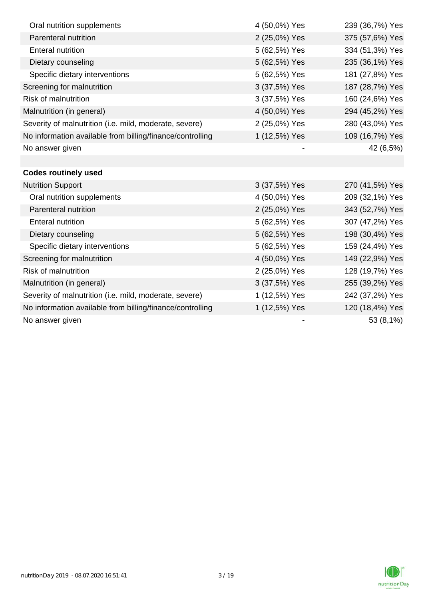| Oral nutrition supplements                                | 4 (50,0%) Yes | 239 (36,7%) Yes |
|-----------------------------------------------------------|---------------|-----------------|
| Parenteral nutrition                                      | 2 (25,0%) Yes | 375 (57,6%) Yes |
| <b>Enteral nutrition</b>                                  | 5 (62,5%) Yes | 334 (51,3%) Yes |
| Dietary counseling                                        | 5 (62,5%) Yes | 235 (36,1%) Yes |
| Specific dietary interventions                            | 5 (62,5%) Yes | 181 (27,8%) Yes |
| Screening for malnutrition                                | 3 (37,5%) Yes | 187 (28,7%) Yes |
| <b>Risk of malnutrition</b>                               | 3 (37,5%) Yes | 160 (24,6%) Yes |
| Malnutrition (in general)                                 | 4 (50,0%) Yes | 294 (45,2%) Yes |
| Severity of malnutrition (i.e. mild, moderate, severe)    | 2 (25,0%) Yes | 280 (43,0%) Yes |
| No information available from billing/finance/controlling | 1 (12,5%) Yes | 109 (16,7%) Yes |
| No answer given                                           |               | 42 (6,5%)       |
|                                                           |               |                 |
| <b>Codes routinely used</b>                               |               |                 |
| <b>Nutrition Support</b>                                  | 3 (37,5%) Yes | 270 (41,5%) Yes |
| Oral nutrition supplements                                | 4 (50,0%) Yes | 209 (32,1%) Yes |
| Parenteral nutrition                                      | 2 (25,0%) Yes | 343 (52,7%) Yes |
| <b>Enteral nutrition</b>                                  | 5 (62,5%) Yes | 307 (47,2%) Yes |
| Dietary counseling                                        | 5 (62,5%) Yes | 198 (30,4%) Yes |
| Specific dietary interventions                            | 5 (62,5%) Yes | 159 (24,4%) Yes |
| Screening for malnutrition                                | 4 (50,0%) Yes | 149 (22,9%) Yes |
| <b>Risk of malnutrition</b>                               | 2 (25,0%) Yes | 128 (19,7%) Yes |
| Malnutrition (in general)                                 | 3 (37,5%) Yes | 255 (39,2%) Yes |
| Severity of malnutrition (i.e. mild, moderate, severe)    | 1 (12,5%) Yes | 242 (37,2%) Yes |
| No information available from billing/finance/controlling | 1 (12,5%) Yes | 120 (18,4%) Yes |
| No answer given                                           |               | 53 (8,1%)       |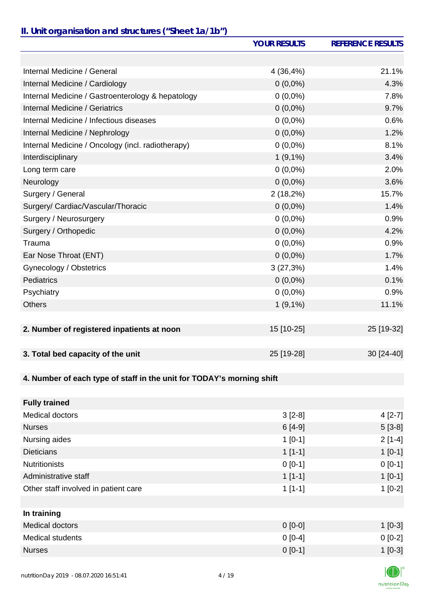### *II. Unit organisation and structures ("Sheet 1a/1b")*

|                                                                       | <b>YOUR RESULTS</b> | <b>REFERENCE RESULTS</b> |
|-----------------------------------------------------------------------|---------------------|--------------------------|
|                                                                       |                     |                          |
| Internal Medicine / General                                           | 4 (36,4%)           | 21.1%                    |
| Internal Medicine / Cardiology                                        | $0(0,0\%)$          | 4.3%                     |
| Internal Medicine / Gastroenterology & hepatology                     | $0(0,0\%)$          | 7.8%                     |
| Internal Medicine / Geriatrics                                        | $0(0,0\%)$          | 9.7%                     |
| Internal Medicine / Infectious diseases                               | $0(0,0\%)$          | 0.6%                     |
| Internal Medicine / Nephrology                                        | $0(0,0\%)$          | 1.2%                     |
| Internal Medicine / Oncology (incl. radiotherapy)                     | $0(0,0\%)$          | 8.1%                     |
| Interdisciplinary                                                     | $1(9,1\%)$          | 3.4%                     |
| Long term care                                                        | $0(0,0\%)$          | 2.0%                     |
| Neurology                                                             | $0(0,0\%)$          | 3.6%                     |
| Surgery / General                                                     | 2(18,2%)            | 15.7%                    |
| Surgery/ Cardiac/Vascular/Thoracic                                    | $0(0,0\%)$          | 1.4%                     |
| Surgery / Neurosurgery                                                | $0(0,0\%)$          | 0.9%                     |
| Surgery / Orthopedic                                                  | $0(0,0\%)$          | 4.2%                     |
| Trauma                                                                | $0(0,0\%)$          | 0.9%                     |
| Ear Nose Throat (ENT)                                                 | $0(0,0\%)$          | 1.7%                     |
| Gynecology / Obstetrics                                               | 3(27,3%)            | 1.4%                     |
| <b>Pediatrics</b>                                                     | $0(0,0\%)$          | 0.1%                     |
| Psychiatry                                                            | $0(0,0\%)$          | 0.9%                     |
| <b>Others</b>                                                         | $1(9,1\%)$          | 11.1%                    |
|                                                                       |                     |                          |
| 2. Number of registered inpatients at noon                            | 15 [10-25]          | 25 [19-32]               |
|                                                                       |                     |                          |
| 3. Total bed capacity of the unit                                     | 25 [19-28]          | 30 [24-40]               |
|                                                                       |                     |                          |
| 4. Number of each type of staff in the unit for TODAY's morning shift |                     |                          |
|                                                                       |                     |                          |
| <b>Fully trained</b>                                                  |                     |                          |
| <b>Medical doctors</b>                                                | $3[2-8]$            | $4[2-7]$                 |
| <b>Nurses</b>                                                         | $6[4-9]$            | $5[3-8]$                 |
| Nursing aides                                                         | $1[0-1]$            | $2[1-4]$                 |
| <b>Dieticians</b>                                                     | $1[1-1]$            | $1[0-1]$                 |
| <b>Nutritionists</b>                                                  | $0[0-1]$            | $0[0-1]$                 |
| Administrative staff                                                  | $1[1-1]$            | $1[0-1]$                 |
| Other staff involved in patient care                                  | $1[1-1]$            | $1[0-2]$                 |
|                                                                       |                     |                          |
| In training                                                           |                     |                          |
|                                                                       | <u>n na ni</u>      | 1.50.01                  |

| Medical doctors  | $0$ [0-0] | $[0-3]$  |
|------------------|-----------|----------|
| Medical students | $0 [0-4]$ | $0[0-2]$ |
| <b>Nurses</b>    | $0 [0-1]$ | $[0-3]$  |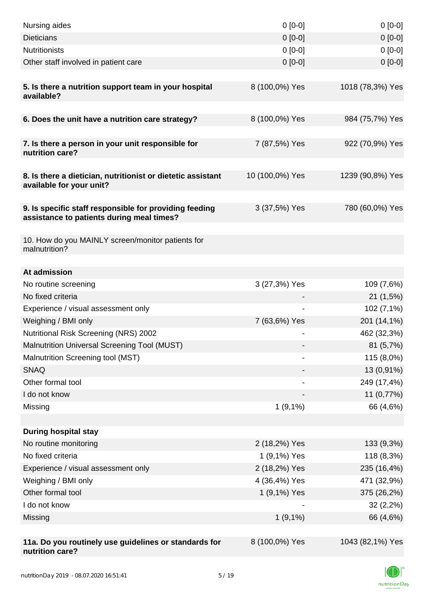| Nursing aides                                                                                       | $0 [0-0]$       | $0[0-0]$         |
|-----------------------------------------------------------------------------------------------------|-----------------|------------------|
| <b>Dieticians</b>                                                                                   | $0 [0-0]$       | $0[0-0]$         |
| <b>Nutritionists</b>                                                                                | $0[0-0]$        | $0[0-0]$         |
| Other staff involved in patient care                                                                | $0$ [0-0]       | $0[0-0]$         |
|                                                                                                     |                 |                  |
| 5. Is there a nutrition support team in your hospital<br>available?                                 | 8 (100,0%) Yes  | 1018 (78,3%) Yes |
| 6. Does the unit have a nutrition care strategy?                                                    | 8 (100,0%) Yes  | 984 (75,7%) Yes  |
| 7. Is there a person in your unit responsible for<br>nutrition care?                                | 7 (87,5%) Yes   | 922 (70,9%) Yes  |
| 8. Is there a dietician, nutritionist or dietetic assistant<br>available for your unit?             | 10 (100,0%) Yes | 1239 (90,8%) Yes |
| 9. Is specific staff responsible for providing feeding<br>assistance to patients during meal times? | 3 (37,5%) Yes   | 780 (60,0%) Yes  |
| 10. How do you MAINLY screen/monitor patients for<br>malnutrition?                                  |                 |                  |
| At admission                                                                                        |                 |                  |
| No routine screening                                                                                | 3 (27,3%) Yes   | 109 (7,6%)       |
| No fixed criteria                                                                                   |                 | 21 (1,5%)        |
| Experience / visual assessment only                                                                 |                 | 102 (7,1%)       |
| Weighing / BMI only                                                                                 | 7 (63,6%) Yes   | 201 (14,1%)      |
| Nutritional Risk Screening (NRS) 2002                                                               |                 | 462 (32,3%)      |
| Malnutrition Universal Screening Tool (MUST)                                                        |                 | 81 (5,7%)        |
| Malnutrition Screening tool (MST)                                                                   |                 | 115 (8,0%)       |
| <b>SNAQ</b>                                                                                         |                 | 13 (0,91%)       |
| Other formal tool                                                                                   |                 | 249 (17,4%)      |
| I do not know                                                                                       |                 | 11 (0,77%)       |
| Missing                                                                                             | 1(9,1%)         | 66 (4,6%)        |
|                                                                                                     |                 |                  |
| <b>During hospital stay</b>                                                                         |                 |                  |
| No routine monitoring                                                                               | 2 (18,2%) Yes   | 133 (9,3%)       |
| No fixed criteria                                                                                   | 1 (9,1%) Yes    | 118 (8,3%)       |
| Experience / visual assessment only                                                                 | 2 (18,2%) Yes   | 235 (16,4%)      |
| Weighing / BMI only                                                                                 | 4 (36,4%) Yes   | 471 (32,9%)      |
| Other formal tool                                                                                   | 1 (9,1%) Yes    | 375 (26,2%)      |
| I do not know                                                                                       |                 | 32(2,2%)         |
| Missing                                                                                             | $1(9,1\%)$      | 66 (4,6%)        |
| 11a. Do you routinely use guidelines or standards for<br>nutrition care?                            | 8 (100,0%) Yes  | 1043 (82,1%) Yes |

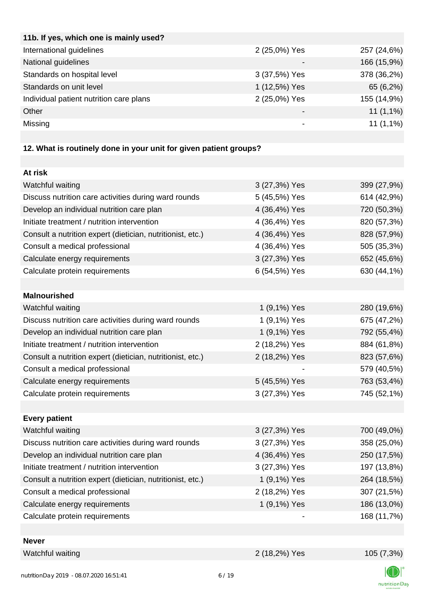| 11b. If yes, which one is mainly used?  |               |             |
|-----------------------------------------|---------------|-------------|
| International guidelines                | 2 (25,0%) Yes | 257 (24,6%) |
| National guidelines                     |               | 166 (15,9%) |
| Standards on hospital level             | 3 (37,5%) Yes | 378 (36,2%) |
| Standards on unit level                 | 1 (12,5%) Yes | 65 (6,2%)   |
| Individual patient nutrition care plans | 2 (25,0%) Yes | 155 (14,9%) |
| Other                                   |               | $11(1,1\%)$ |
| Missing                                 |               | $11(1,1\%)$ |
|                                         |               |             |

# **12. What is routinely done in your unit for given patient groups?**

| At risk                                                    |               |             |
|------------------------------------------------------------|---------------|-------------|
| Watchful waiting                                           | 3 (27,3%) Yes | 399 (27,9%) |
| Discuss nutrition care activities during ward rounds       | 5 (45,5%) Yes | 614 (42,9%) |
| Develop an individual nutrition care plan                  | 4 (36,4%) Yes | 720 (50,3%) |
| Initiate treatment / nutrition intervention                | 4 (36,4%) Yes | 820 (57,3%) |
| Consult a nutrition expert (dietician, nutritionist, etc.) | 4 (36,4%) Yes | 828 (57,9%) |
| Consult a medical professional                             | 4 (36,4%) Yes | 505 (35,3%) |
| Calculate energy requirements                              | 3 (27,3%) Yes | 652 (45,6%) |
| Calculate protein requirements                             | 6 (54,5%) Yes | 630 (44,1%) |
|                                                            |               |             |
| <b>Malnourished</b>                                        |               |             |
| Watchful waiting                                           | 1 (9,1%) Yes  | 280 (19,6%) |
| Discuss nutrition care activities during ward rounds       | 1 (9,1%) Yes  | 675 (47,2%) |
| Develop an individual nutrition care plan                  | 1 (9,1%) Yes  | 792 (55,4%) |
| Initiate treatment / nutrition intervention                | 2 (18,2%) Yes | 884 (61,8%) |
| Consult a nutrition expert (dietician, nutritionist, etc.) | 2 (18,2%) Yes | 823 (57,6%) |
| Consult a medical professional                             |               | 579 (40,5%) |
| Calculate energy requirements                              | 5 (45,5%) Yes | 763 (53,4%) |
| Calculate protein requirements                             | 3 (27,3%) Yes | 745 (52,1%) |
|                                                            |               |             |
| <b>Every patient</b>                                       |               |             |
| Watchful waiting                                           | 3 (27,3%) Yes | 700 (49,0%) |
| Discuss nutrition care activities during ward rounds       | 3 (27,3%) Yes | 358 (25,0%) |
| Develop an individual nutrition care plan                  | 4 (36,4%) Yes | 250 (17,5%) |
| Initiate treatment / nutrition intervention                | 3 (27,3%) Yes | 197 (13,8%) |
| Consult a nutrition expert (dietician, nutritionist, etc.) | 1 (9,1%) Yes  | 264 (18,5%) |
| Consult a medical professional                             | 2 (18,2%) Yes | 307 (21,5%) |
| Calculate energy requirements                              | 1 (9,1%) Yes  | 186 (13,0%) |
| Calculate protein requirements                             |               | 168 (11,7%) |
|                                                            |               |             |
| <b>Never</b>                                               |               |             |

Watchful waiting 2 (18,2%) Yes 105 (7,3%)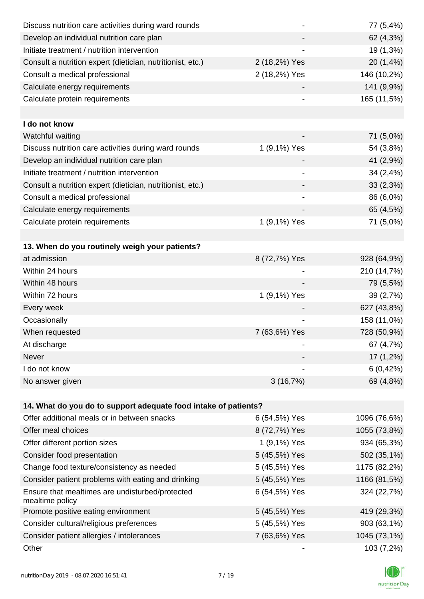| Discuss nutrition care activities during ward rounds               |               | 77 (5,4%)    |
|--------------------------------------------------------------------|---------------|--------------|
| Develop an individual nutrition care plan                          |               | 62 (4,3%)    |
| Initiate treatment / nutrition intervention                        |               | 19 (1,3%)    |
| Consult a nutrition expert (dietician, nutritionist, etc.)         | 2 (18,2%) Yes | 20 (1,4%)    |
| Consult a medical professional                                     | 2 (18,2%) Yes | 146 (10,2%)  |
| Calculate energy requirements                                      |               | 141 (9,9%)   |
| Calculate protein requirements                                     |               | 165 (11,5%)  |
|                                                                    |               |              |
| I do not know                                                      |               |              |
| Watchful waiting                                                   |               | 71 (5,0%)    |
| Discuss nutrition care activities during ward rounds               | 1 (9,1%) Yes  | 54 (3,8%)    |
| Develop an individual nutrition care plan                          |               | 41 (2,9%)    |
| Initiate treatment / nutrition intervention                        |               | 34 (2,4%)    |
| Consult a nutrition expert (dietician, nutritionist, etc.)         |               | 33 (2,3%)    |
| Consult a medical professional                                     |               | 86 (6,0%)    |
| Calculate energy requirements                                      |               | 65 (4,5%)    |
| Calculate protein requirements                                     | 1 (9,1%) Yes  | 71 (5,0%)    |
|                                                                    |               |              |
| 13. When do you routinely weigh your patients?                     |               |              |
| at admission                                                       | 8 (72,7%) Yes | 928 (64,9%)  |
| Within 24 hours                                                    |               | 210 (14,7%)  |
| Within 48 hours                                                    |               | 79 (5,5%)    |
| Within 72 hours                                                    | 1 (9,1%) Yes  | 39 (2,7%)    |
| Every week                                                         |               | 627 (43,8%)  |
| Occasionally                                                       |               | 158 (11,0%)  |
| When requested                                                     | 7 (63,6%) Yes | 728 (50,9%)  |
| At discharge                                                       |               | 67 (4,7%)    |
| Never                                                              |               | 17 (1,2%)    |
| I do not know                                                      |               | 6(0,42%)     |
| No answer given                                                    | 3(16,7%)      | 69 (4,8%)    |
|                                                                    |               |              |
| 14. What do you do to support adequate food intake of patients?    |               |              |
| Offer additional meals or in between snacks                        | 6 (54,5%) Yes | 1096 (76,6%) |
| Offer meal choices                                                 | 8 (72,7%) Yes | 1055 (73,8%) |
| Offer different portion sizes                                      | 1 (9,1%) Yes  | 934 (65,3%)  |
| Consider food presentation                                         | 5 (45,5%) Yes | 502 (35,1%)  |
| Change food texture/consistency as needed                          | 5 (45,5%) Yes | 1175 (82,2%) |
| Consider patient problems with eating and drinking                 | 5 (45,5%) Yes | 1166 (81,5%) |
| Ensure that mealtimes are undisturbed/protected<br>mealtime policy | 6 (54,5%) Yes | 324 (22,7%)  |
| Promote positive eating environment                                | 5 (45,5%) Yes | 419 (29,3%)  |
| Consider cultural/religious preferences                            | 5 (45,5%) Yes | 903 (63,1%)  |
| Consider patient allergies / intolerances                          | 7 (63,6%) Yes | 1045 (73,1%) |
| Other                                                              |               | 103 (7,2%)   |

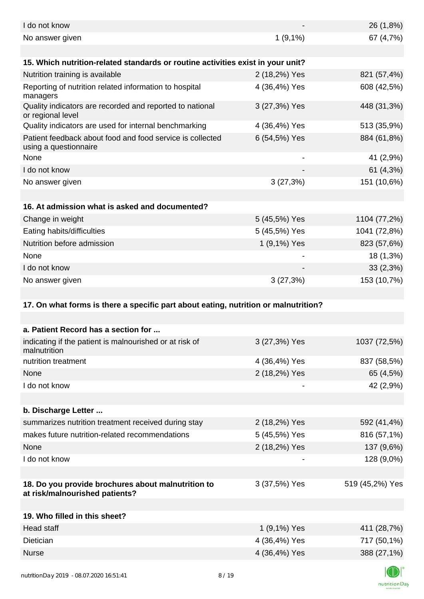| I do not know                                                                        |               | 26 (1,8%)       |
|--------------------------------------------------------------------------------------|---------------|-----------------|
| No answer given                                                                      | $1(9,1\%)$    | 67 (4,7%)       |
| 15. Which nutrition-related standards or routine activities exist in your unit?      |               |                 |
| Nutrition training is available                                                      | 2 (18,2%) Yes | 821 (57,4%)     |
| Reporting of nutrition related information to hospital<br>managers                   | 4 (36,4%) Yes | 608 (42,5%)     |
| Quality indicators are recorded and reported to national<br>or regional level        | 3 (27,3%) Yes | 448 (31,3%)     |
| Quality indicators are used for internal benchmarking                                | 4 (36,4%) Yes | 513 (35,9%)     |
| Patient feedback about food and food service is collected<br>using a questionnaire   | 6 (54,5%) Yes | 884 (61,8%)     |
| None                                                                                 |               | 41 (2,9%)       |
| I do not know                                                                        |               | 61 (4,3%)       |
| No answer given                                                                      | 3(27,3%)      | 151 (10,6%)     |
|                                                                                      |               |                 |
| 16. At admission what is asked and documented?                                       |               |                 |
| Change in weight                                                                     | 5 (45,5%) Yes | 1104 (77,2%)    |
| Eating habits/difficulties                                                           | 5 (45,5%) Yes | 1041 (72,8%)    |
| Nutrition before admission                                                           | 1 (9,1%) Yes  | 823 (57,6%)     |
| None                                                                                 |               | 18 (1,3%)       |
| I do not know                                                                        |               | 33(2,3%)        |
| No answer given                                                                      | 3(27,3%)      | 153 (10,7%)     |
|                                                                                      |               |                 |
| 17. On what forms is there a specific part about eating, nutrition or malnutrition?  |               |                 |
|                                                                                      |               |                 |
| a. Patient Record has a section for                                                  |               |                 |
| indicating if the patient is malnourished or at risk of<br>malnutrition              | 3 (27,3%) Yes | 1037 (72,5%)    |
| nutrition treatment                                                                  | 4 (36,4%) Yes | 837 (58,5%)     |
| None                                                                                 | 2 (18,2%) Yes | 65 (4,5%)       |
| I do not know                                                                        |               | 42 (2,9%)       |
|                                                                                      |               |                 |
| b. Discharge Letter                                                                  |               |                 |
| summarizes nutrition treatment received during stay                                  | 2 (18,2%) Yes | 592 (41,4%)     |
| makes future nutrition-related recommendations                                       | 5 (45,5%) Yes | 816 (57,1%)     |
| None                                                                                 | 2 (18,2%) Yes | 137 (9,6%)      |
| I do not know                                                                        |               | 128 (9,0%)      |
|                                                                                      |               |                 |
| 18. Do you provide brochures about malnutrition to<br>at risk/malnourished patients? | 3 (37,5%) Yes | 519 (45,2%) Yes |
| 19. Who filled in this sheet?                                                        |               |                 |
| Head staff                                                                           |               |                 |
|                                                                                      | 1 (9,1%) Yes  | 411 (28,7%)     |
| Dietician                                                                            | 4 (36,4%) Yes | 717 (50,1%)     |
| <b>Nurse</b>                                                                         | 4 (36,4%) Yes | 388 (27,1%)     |
|                                                                                      |               | $\sqrt{2}$      |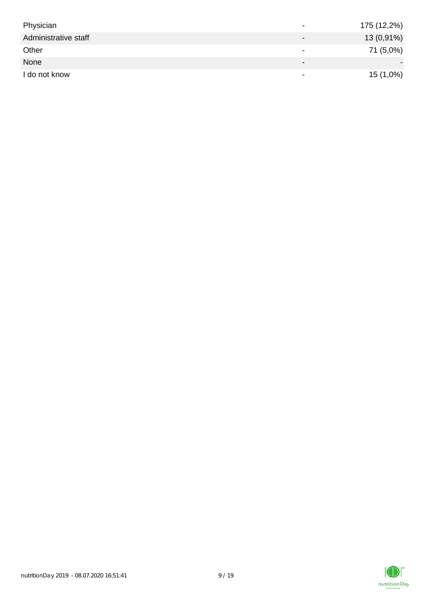| Physician            | $\overline{\phantom{a}}$     | 175 (12,2%) |
|----------------------|------------------------------|-------------|
| Administrative staff | $\qquad \qquad \blacksquare$ | 13 (0,91%)  |
| Other                | $\,$                         | 71 (5,0%)   |
| None                 | $\overline{\phantom{0}}$     |             |
| I do not know        | $\,$                         | 15 (1,0%)   |

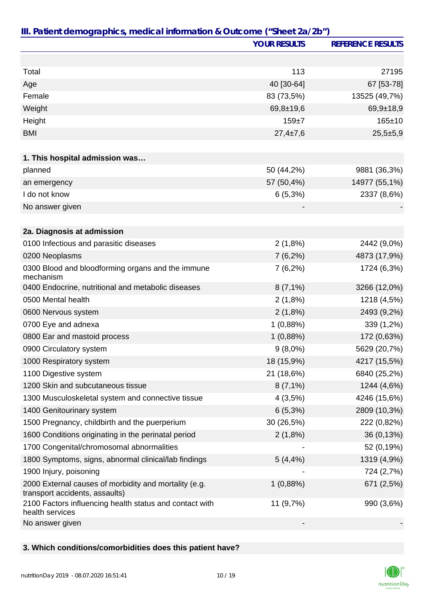|                                                                                         | <b>YOUR RESULTS</b> | <b>REFERENCE RESULTS</b> |
|-----------------------------------------------------------------------------------------|---------------------|--------------------------|
|                                                                                         |                     |                          |
| Total                                                                                   | 113                 | 27195                    |
| Age                                                                                     | 40 [30-64]          | 67 [53-78]               |
| Female                                                                                  | 83 (73,5%)          | 13525 (49,7%)            |
| Weight                                                                                  | $69,8 \pm 19,6$     | $69,9+18,9$              |
| Height                                                                                  | $159 + 7$           | $165 \pm 10$             |
| <b>BMI</b>                                                                              | $27,4 \pm 7,6$      | $25,5+5,9$               |
|                                                                                         |                     |                          |
| 1. This hospital admission was                                                          |                     |                          |
| planned                                                                                 | 50 (44,2%)          | 9881 (36,3%)             |
| an emergency                                                                            | 57 (50,4%)          | 14977 (55,1%)            |
| I do not know                                                                           | 6(5,3%)             | 2337 (8,6%)              |
| No answer given                                                                         |                     |                          |
|                                                                                         |                     |                          |
| 2a. Diagnosis at admission                                                              |                     |                          |
| 0100 Infectious and parasitic diseases                                                  | 2(1,8%)             | 2442 (9,0%)              |
| 0200 Neoplasms                                                                          | $7(6,2\%)$          | 4873 (17,9%)             |
| 0300 Blood and bloodforming organs and the immune<br>mechanism                          | $7(6,2\%)$          | 1724 (6,3%)              |
| 0400 Endocrine, nutritional and metabolic diseases                                      | $8(7,1\%)$          | 3266 (12,0%)             |
| 0500 Mental health                                                                      | 2(1,8%)             | 1218 (4,5%)              |
| 0600 Nervous system                                                                     | 2(1,8%)             | 2493 (9,2%)              |
| 0700 Eye and adnexa                                                                     | 1(0,88%)            | 339 (1,2%)               |
| 0800 Ear and mastoid process                                                            | 1(0,88%)            | 172 (0,63%)              |
| 0900 Circulatory system                                                                 | $9(8,0\%)$          | 5629 (20,7%)             |
| 1000 Respiratory system                                                                 | 18 (15,9%)          | 4217 (15,5%)             |
| 1100 Digestive system                                                                   | 21 (18,6%)          | 6840 (25,2%)             |
| 1200 Skin and subcutaneous tissue                                                       | $8(7,1\%)$          | 1244 (4,6%)              |
| 1300 Musculoskeletal system and connective tissue                                       | 4(3,5%)             | 4246 (15,6%)             |
| 1400 Genitourinary system                                                               | 6(5,3%)             | 2809 (10,3%)             |
| 1500 Pregnancy, childbirth and the puerperium                                           | 30 (26,5%)          | 222 (0,82%)              |
| 1600 Conditions originating in the perinatal period                                     | 2(1,8%)             | 36 (0,13%)               |
| 1700 Congenital/chromosomal abnormalities                                               |                     | 52 (0,19%)               |
| 1800 Symptoms, signs, abnormal clinical/lab findings                                    | 5(4,4%              | 1319 (4,9%)              |
| 1900 Injury, poisoning                                                                  |                     | 724 (2,7%)               |
| 2000 External causes of morbidity and mortality (e.g.<br>transport accidents, assaults) | 1(0,88%)            | 671 (2,5%)               |
| 2100 Factors influencing health status and contact with<br>health services              | 11 (9,7%)           | 990 (3,6%)               |
| No answer given                                                                         |                     |                          |

## **3. Which conditions/comorbidities does this patient have?**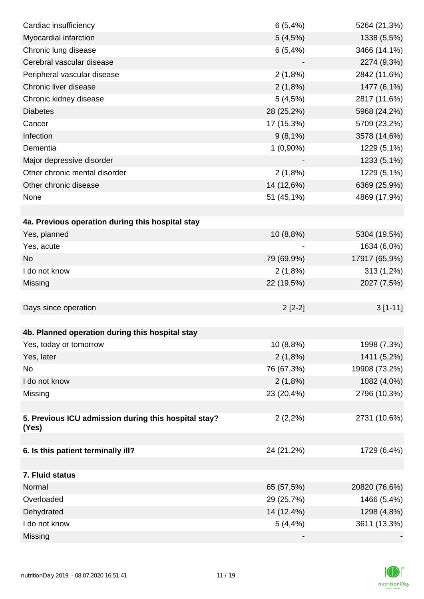| Cardiac insufficiency                                | 6(5,4%)     | 5264 (21,3%)  |
|------------------------------------------------------|-------------|---------------|
| Myocardial infarction                                | 5(4,5%)     | 1338 (5,5%)   |
| Chronic lung disease                                 | 6(5,4%)     | 3466 (14,1%)  |
| Cerebral vascular disease                            |             | 2274 (9,3%)   |
| Peripheral vascular disease                          | 2(1,8%)     | 2842 (11,6%)  |
| Chronic liver disease                                | 2(1,8%)     | 1477 (6,1%)   |
| Chronic kidney disease                               | 5(4,5%)     | 2817 (11,6%)  |
| <b>Diabetes</b>                                      | 28 (25,2%)  | 5968 (24,2%)  |
| Cancer                                               | 17 (15,3%)  | 5709 (23,2%)  |
| Infection                                            | $9(8,1\%)$  | 3578 (14,6%)  |
| Dementia                                             | $1(0,90\%)$ | 1229 (5,1%)   |
| Major depressive disorder                            |             | 1233 (5,1%)   |
| Other chronic mental disorder                        | 2(1,8%)     | 1229 (5,1%)   |
| Other chronic disease                                | 14 (12,6%)  | 6369 (25,9%)  |
| None                                                 | 51 (45,1%)  | 4869 (17,9%)  |
|                                                      |             |               |
| 4a. Previous operation during this hospital stay     |             |               |
| Yes, planned                                         | 10(8,8%)    | 5304 (19,5%)  |
| Yes, acute                                           |             | 1634 (6,0%)   |
| <b>No</b>                                            | 79 (69,9%)  | 17917 (65,9%) |
| I do not know                                        | $2(1,8\%)$  | 313 (1,2%)    |
| Missing                                              | 22 (19,5%)  | 2027 (7,5%)   |
|                                                      |             |               |
| Days since operation                                 | $2[2-2]$    | $3[1-11]$     |
|                                                      |             |               |
| 4b. Planned operation during this hospital stay      |             |               |
| Yes, today or tomorrow                               | 10 (8,8%)   | 1998 (7,3%)   |
| Yes, later                                           | 2(1,8%)     | 1411 (5,2%)   |
| No                                                   | 76 (67,3%)  | 19908 (73,2%) |
| I do not know                                        | 2(1,8%)     | 1082 (4,0%)   |
| Missing                                              | 23 (20,4%)  | 2796 (10,3%)  |
|                                                      |             |               |
| 5. Previous ICU admission during this hospital stay? | $2(2,2\%)$  | 2731 (10,6%)  |
| (Yes)                                                |             |               |
| 6. Is this patient terminally ill?                   | 24 (21,2%)  | 1729 (6,4%)   |
|                                                      |             |               |
| 7. Fluid status                                      |             |               |
| Normal                                               | 65 (57,5%)  | 20820 (76,6%) |
| Overloaded                                           | 29 (25,7%)  | 1466 (5,4%)   |
| Dehydrated                                           | 14 (12,4%)  | 1298 (4,8%)   |
| I do not know                                        | $5(4, 4\%)$ | 3611 (13,3%)  |
| Missing                                              |             |               |

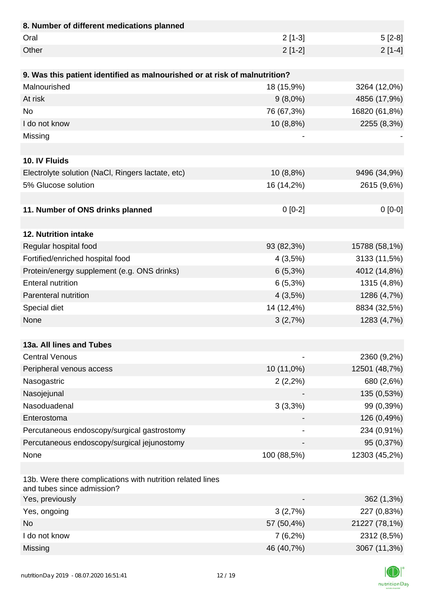| 8. Number of different medications planned                                               |             |               |
|------------------------------------------------------------------------------------------|-------------|---------------|
| Oral                                                                                     | $2[1-3]$    | $5[2-8]$      |
| Other                                                                                    | $2[1-2]$    | $2[1-4]$      |
|                                                                                          |             |               |
| 9. Was this patient identified as malnourished or at risk of malnutrition?               |             |               |
| Malnourished                                                                             | 18 (15,9%)  | 3264 (12,0%)  |
| At risk                                                                                  | $9(8,0\%)$  | 4856 (17,9%)  |
| <b>No</b>                                                                                | 76 (67,3%)  | 16820 (61,8%) |
| I do not know                                                                            | 10 (8,8%)   | 2255 (8,3%)   |
| Missing                                                                                  |             |               |
|                                                                                          |             |               |
| 10. IV Fluids                                                                            |             |               |
| Electrolyte solution (NaCl, Ringers lactate, etc)                                        | 10 (8,8%)   | 9496 (34,9%)  |
| 5% Glucose solution                                                                      | 16 (14,2%)  | 2615 (9,6%)   |
|                                                                                          |             |               |
| 11. Number of ONS drinks planned                                                         | $0[0-2]$    | $0[0-0]$      |
|                                                                                          |             |               |
| 12. Nutrition intake                                                                     |             |               |
| Regular hospital food                                                                    | 93 (82,3%)  | 15788 (58,1%) |
| Fortified/enriched hospital food                                                         | 4(3,5%)     | 3133 (11,5%)  |
| Protein/energy supplement (e.g. ONS drinks)                                              | $6(5,3\%)$  | 4012 (14,8%)  |
| <b>Enteral nutrition</b>                                                                 | 6(5,3%)     | 1315 (4,8%)   |
| Parenteral nutrition                                                                     | 4(3,5%)     | 1286 (4,7%)   |
| Special diet                                                                             | 14 (12,4%)  | 8834 (32,5%)  |
| None                                                                                     | 3(2,7%)     | 1283 (4,7%)   |
|                                                                                          |             |               |
| 13a. All lines and Tubes                                                                 |             |               |
| <b>Central Venous</b>                                                                    |             | 2360 (9,2%)   |
| Peripheral venous access                                                                 | 10 (11,0%)  | 12501 (48,7%) |
| Nasogastric                                                                              | $2(2,2\%)$  | 680 (2,6%)    |
| Nasojejunal                                                                              |             | 135 (0,53%)   |
| Nasoduadenal                                                                             | 3(3,3%)     | 99 (0,39%)    |
| Enterostoma                                                                              |             | 126 (0,49%)   |
| Percutaneous endoscopy/surgical gastrostomy                                              |             | 234 (0,91%)   |
| Percutaneous endoscopy/surgical jejunostomy                                              |             | 95 (0,37%)    |
| None                                                                                     | 100 (88,5%) | 12303 (45,2%) |
|                                                                                          |             |               |
| 13b. Were there complications with nutrition related lines<br>and tubes since admission? |             |               |
| Yes, previously                                                                          |             | 362(1,3%)     |
| Yes, ongoing                                                                             | 3(2,7%)     | 227 (0,83%)   |
| <b>No</b>                                                                                | 57 (50,4%)  | 21227 (78,1%) |
| I do not know                                                                            | $7(6,2\%)$  | 2312 (8,5%)   |
| Missing                                                                                  | 46 (40,7%)  | 3067 (11,3%)  |

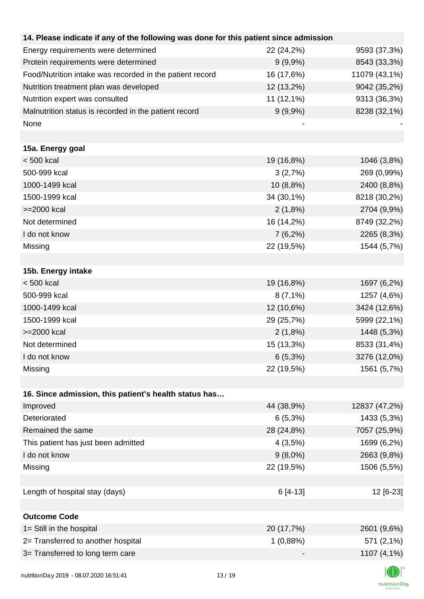| 14. Please indicate if any of the following was done for this patient since admission |            |               |
|---------------------------------------------------------------------------------------|------------|---------------|
| Energy requirements were determined                                                   | 22 (24,2%) | 9593 (37,3%)  |
| Protein requirements were determined                                                  | $9(9,9\%)$ | 8543 (33,3%)  |
| Food/Nutrition intake was recorded in the patient record                              | 16 (17,6%) | 11079 (43,1%) |
| Nutrition treatment plan was developed                                                | 12 (13,2%) | 9042 (35,2%)  |
| Nutrition expert was consulted                                                        | 11 (12,1%) | 9313 (36,3%)  |
| Malnutrition status is recorded in the patient record                                 | $9(9,9\%)$ | 8238 (32,1%)  |
| None                                                                                  |            |               |
|                                                                                       |            |               |
| 15a. Energy goal                                                                      |            |               |
| $< 500$ kcal                                                                          | 19 (16,8%) | 1046 (3,8%)   |
| 500-999 kcal                                                                          | 3(2,7%)    | 269 (0,99%)   |
| 1000-1499 kcal                                                                        | 10 (8,8%)  | 2400 (8,8%)   |
| 1500-1999 kcal                                                                        | 34 (30,1%) | 8218 (30,2%)  |
| >=2000 kcal                                                                           | 2(1,8%)    | 2704 (9,9%)   |
| Not determined                                                                        | 16 (14,2%) | 8749 (32,2%)  |
| I do not know                                                                         | $7(6,2\%)$ | 2265 (8,3%)   |
| Missing                                                                               | 22 (19,5%) | 1544 (5,7%)   |
|                                                                                       |            |               |
| 15b. Energy intake                                                                    |            |               |
| $< 500$ kcal                                                                          | 19 (16,8%) | 1697 (6,2%)   |
| 500-999 kcal                                                                          | $8(7,1\%)$ | 1257 (4,6%)   |
| 1000-1499 kcal                                                                        | 12 (10,6%) | 3424 (12,6%)  |
| 1500-1999 kcal                                                                        | 29 (25,7%) | 5999 (22,1%)  |
| >=2000 kcal                                                                           | 2(1,8%)    | 1448 (5,3%)   |
| Not determined                                                                        | 15 (13,3%) | 8533 (31,4%)  |
| I do not know                                                                         | $6(5,3\%)$ | 3276 (12,0%)  |
| Missing                                                                               | 22 (19,5%) | 1561 (5,7%)   |
|                                                                                       |            |               |
| 16. Since admission, this patient's health status has                                 |            |               |
| Improved                                                                              | 44 (38,9%) | 12837 (47,2%) |
| Deteriorated                                                                          | $6(5,3\%)$ | 1433 (5,3%)   |
| Remained the same                                                                     | 28 (24,8%) | 7057 (25,9%)  |
| This patient has just been admitted                                                   | 4(3,5%)    | 1699 (6,2%)   |
| I do not know                                                                         | $9(8,0\%)$ | 2663 (9,8%)   |
| Missing                                                                               | 22 (19,5%) | 1506 (5,5%)   |
|                                                                                       |            |               |
| Length of hospital stay (days)                                                        | $6[4-13]$  | 12 [6-23]     |
|                                                                                       |            |               |
| <b>Outcome Code</b>                                                                   |            |               |
| 1= Still in the hospital                                                              | 20 (17,7%) | 2601 (9,6%)   |
| 2= Transferred to another hospital                                                    | 1(0,88%)   | 571 (2,1%)    |
| 3= Transferred to long term care                                                      |            | 1107 (4,1%)   |
|                                                                                       |            |               |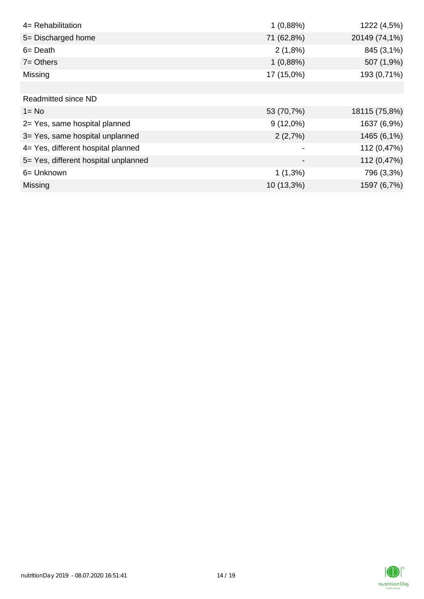| 4= Rehabilitation                    | 1(0,88%)                     | 1222 (4,5%)   |
|--------------------------------------|------------------------------|---------------|
| 5= Discharged home                   | 71 (62,8%)                   | 20149 (74,1%) |
| $6 = Death$                          | 2(1,8%)                      | 845 (3,1%)    |
| $7 = Others$                         | 1(0,88%)                     | 507 (1,9%)    |
| Missing                              | 17 (15,0%)                   | 193 (0,71%)   |
|                                      |                              |               |
| <b>Readmitted since ND</b>           |                              |               |
| $1 = No$                             | 53 (70,7%)                   | 18115 (75,8%) |
| 2= Yes, same hospital planned        | $9(12,0\%)$                  | 1637 (6,9%)   |
| 3= Yes, same hospital unplanned      | 2(2,7%)                      | 1465 (6,1%)   |
| 4= Yes, different hospital planned   |                              | 112 (0,47%)   |
| 5= Yes, different hospital unplanned | $\qquad \qquad \blacksquare$ | 112 (0,47%)   |
| 6= Unknown                           | $1(1,3\%)$                   | 796 (3,3%)    |
| Missing                              | 10 (13,3%)                   | 1597 (6,7%)   |

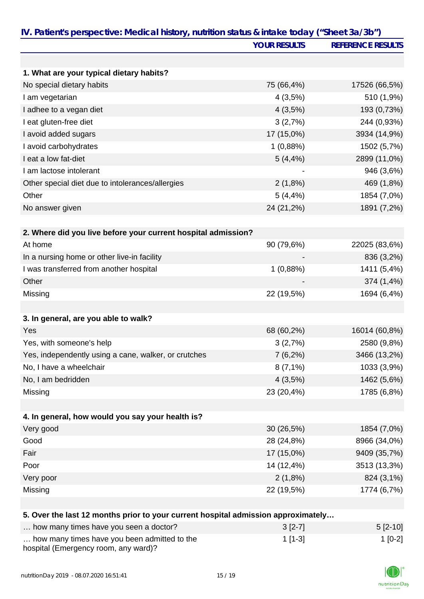|                                                                                   | <b>YOUR RESULTS</b> | <b>REFERENCE RESULTS</b> |
|-----------------------------------------------------------------------------------|---------------------|--------------------------|
|                                                                                   |                     |                          |
| 1. What are your typical dietary habits?                                          |                     |                          |
| No special dietary habits                                                         | 75 (66,4%)          | 17526 (66,5%)            |
| I am vegetarian                                                                   | 4(3,5%)             | 510 (1,9%)               |
| I adhee to a vegan diet                                                           | 4(3,5%)             | 193 (0,73%)              |
| I eat gluten-free diet                                                            | 3(2,7%)             | 244 (0,93%)              |
| I avoid added sugars                                                              | 17 (15,0%)          | 3934 (14,9%)             |
| I avoid carbohydrates                                                             | 1(0,88%)            | 1502 (5,7%)              |
| I eat a low fat-diet                                                              | $5(4, 4\%)$         | 2899 (11,0%)             |
| I am lactose intolerant                                                           |                     | 946 (3,6%)               |
| Other special diet due to intolerances/allergies                                  | 2(1,8%)             | 469 (1,8%)               |
| Other                                                                             | $5(4, 4\%)$         | 1854 (7,0%)              |
| No answer given                                                                   | 24 (21,2%)          | 1891 (7,2%)              |
| 2. Where did you live before your current hospital admission?                     |                     |                          |
| At home                                                                           | 90 (79,6%)          | 22025 (83,6%)            |
| In a nursing home or other live-in facility                                       |                     | 836 (3,2%)               |
| I was transferred from another hospital                                           | 1(0,88%)            | 1411 (5,4%)              |
| Other                                                                             |                     | 374 (1,4%)               |
| Missing                                                                           | 22 (19,5%)          | 1694 (6,4%)              |
|                                                                                   |                     |                          |
| 3. In general, are you able to walk?                                              |                     |                          |
| Yes                                                                               | 68 (60,2%)          | 16014 (60,8%)            |
| Yes, with someone's help                                                          | 3(2,7%)             | 2580 (9,8%)              |
| Yes, independently using a cane, walker, or crutches                              | $7(6,2\%)$          | 3466 (13,2%)             |
| No, I have a wheelchair                                                           | $8(7,1\%)$          | 1033 (3,9%)              |
| No, I am bedridden                                                                | 4(3,5%)             | 1462 (5,6%)              |
| Missing                                                                           | 23 (20,4%)          | 1785 (6,8%)              |
| 4. In general, how would you say your health is?                                  |                     |                          |
| Very good                                                                         | 30 (26,5%)          | 1854 (7,0%)              |
| Good                                                                              | 28 (24,8%)          | 8966 (34,0%)             |
| Fair                                                                              | 17 (15,0%)          | 9409 (35,7%)             |
| Poor                                                                              | 14 (12,4%)          | 3513 (13,3%)             |
| Very poor                                                                         | 2(1,8%)             | 824 (3,1%)               |
| Missing                                                                           | 22 (19,5%)          | 1774 (6,7%)              |
|                                                                                   |                     |                          |
| 5. Over the last 12 months prior to your current hospital admission approximately |                     |                          |
| how many times have you seen a doctor?                                            | $3[2-7]$            | $5[2-10]$                |

| $\ldots$ Tow Thany three Have you seen a doctor $\ell$                               | 01271     | $U^2$ 101 |
|--------------------------------------------------------------------------------------|-----------|-----------|
| how many times have you been admitted to the<br>hospital (Emergency room, any ward)? | $1$ [1-3] | $1 [0-2]$ |

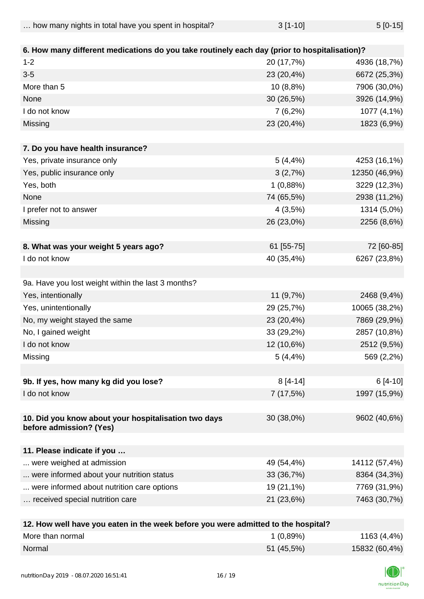| how many nights in total have you spent in hospital? | $3[1-10]$ | $5[0-15]$ |
|------------------------------------------------------|-----------|-----------|
|                                                      |           |           |

| 6. How many different medications do you take routinely each day (prior to hospitalisation)? |                             |               |
|----------------------------------------------------------------------------------------------|-----------------------------|---------------|
| $1 - 2$                                                                                      | 20 (17,7%)                  | 4936 (18,7%)  |
| $3-5$                                                                                        | 23 (20,4%)                  | 6672 (25,3%)  |
| More than 5                                                                                  | 10 (8,8%)                   | 7906 (30,0%)  |
| None                                                                                         | 30 (26,5%)                  | 3926 (14,9%)  |
| I do not know                                                                                | 7(6,2%)                     | 1077 (4,1%)   |
| Missing                                                                                      | 23 (20,4%)                  | 1823 (6,9%)   |
| 7. Do you have health insurance?                                                             |                             |               |
| Yes, private insurance only                                                                  | $5(4, 4\%)$                 | 4253 (16,1%)  |
| Yes, public insurance only                                                                   | 3(2,7%)                     | 12350 (46,9%) |
| Yes, both                                                                                    | 1(0,88%)                    | 3229 (12,3%)  |
| None                                                                                         | 74 (65,5%)                  | 2938 (11,2%)  |
| I prefer not to answer                                                                       | 4(3,5%)                     | 1314 (5,0%)   |
| Missing                                                                                      | 26 (23,0%)                  | 2256 (8,6%)   |
|                                                                                              |                             |               |
| 8. What was your weight 5 years ago?                                                         | 61 [55-75]                  | 72 [60-85]    |
| I do not know                                                                                | 40 (35,4%)                  | 6267 (23,8%)  |
|                                                                                              |                             |               |
| 9a. Have you lost weight within the last 3 months?                                           |                             |               |
| Yes, intentionally                                                                           | 11 (9,7%)                   | 2468 (9,4%)   |
| Yes, unintentionally                                                                         | 29 (25,7%)                  | 10065 (38,2%) |
| No, my weight stayed the same                                                                | 23 (20,4%)                  | 7869 (29,9%)  |
| No, I gained weight                                                                          | 33 (29,2%)                  | 2857 (10,8%)  |
| I do not know                                                                                | 12 (10,6%)                  | 2512 (9,5%)   |
| Missing                                                                                      | 5(4,4%)                     | 569 (2,2%)    |
|                                                                                              |                             |               |
| 9b. If yes, how many kg did you lose?                                                        | $8[4-14]$                   | 6 [4-10]      |
| I do not know                                                                                | 7(17,5%)                    | 1997 (15,9%)  |
|                                                                                              |                             |               |
| 10. Did you know about your hospitalisation two days<br>before admission? (Yes)              | 30 (38,0%)                  | 9602 (40,6%)  |
| 11. Please indicate if you                                                                   |                             |               |
| were weighed at admission                                                                    | 49 (54,4%)                  | 14112 (57,4%) |
| were informed about your nutrition status                                                    | 33 (36,7%)                  | 8364 (34,3%)  |
| were informed about nutrition care options                                                   | 19 (21,1%)                  | 7769 (31,9%)  |
| received special nutrition care                                                              | 21 (23,6%)                  | 7463 (30,7%)  |
|                                                                                              |                             |               |
| 40 Harrison Harrison and<br>the then concelle books as a co                                  | والمفاسمونا وعافرها المفاتح |               |

| 12. How well have you eaten in the week before you were admitted to the hospital? |            |               |
|-----------------------------------------------------------------------------------|------------|---------------|
| More than normal                                                                  | 1(0,89%)   | 1163 (4,4%)   |
| Normal                                                                            | 51 (45,5%) | 15832 (60,4%) |

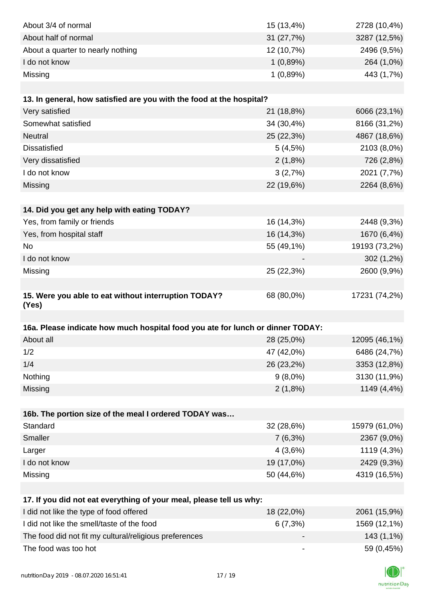| About 3/4 of normal                                                            | 15 (13,4%)                   | 2728 (10,4%)  |
|--------------------------------------------------------------------------------|------------------------------|---------------|
| About half of normal                                                           | 31 (27,7%)                   |               |
|                                                                                |                              | 3287 (12,5%)  |
| About a quarter to nearly nothing                                              | 12 (10,7%)                   | 2496 (9,5%)   |
| I do not know                                                                  | 1(0,89%)                     | 264 (1,0%)    |
| Missing                                                                        | 1(0,89%)                     | 443 (1,7%)    |
|                                                                                |                              |               |
| 13. In general, how satisfied are you with the food at the hospital?           |                              |               |
| Very satisfied                                                                 | 21 (18,8%)                   | 6066 (23,1%)  |
| Somewhat satisfied                                                             | 34 (30,4%)                   | 8166 (31,2%)  |
| Neutral                                                                        | 25 (22,3%)                   | 4867 (18,6%)  |
| <b>Dissatisfied</b>                                                            | 5(4,5%)                      | 2103 (8,0%)   |
| Very dissatisfied                                                              | 2(1,8%)                      | 726 (2,8%)    |
| I do not know                                                                  | 3(2,7%)                      | 2021 (7,7%)   |
| Missing                                                                        | 22 (19,6%)                   | 2264 (8,6%)   |
|                                                                                |                              |               |
| 14. Did you get any help with eating TODAY?                                    |                              |               |
| Yes, from family or friends                                                    | 16 (14,3%)                   | 2448 (9,3%)   |
| Yes, from hospital staff                                                       | 16 (14,3%)                   | 1670 (6,4%)   |
| <b>No</b>                                                                      | 55 (49,1%)                   | 19193 (73,2%) |
| I do not know                                                                  |                              | 302 (1,2%)    |
| Missing                                                                        | 25 (22,3%)                   | 2600 (9,9%)   |
|                                                                                |                              |               |
| 15. Were you able to eat without interruption TODAY?<br>(Yes)                  | 68 (80,0%)                   | 17231 (74,2%) |
|                                                                                |                              |               |
| 16a. Please indicate how much hospital food you ate for lunch or dinner TODAY: |                              |               |
| About all                                                                      | 28 (25,0%)                   | 12095 (46,1%) |
| 1/2                                                                            | 47 (42,0%)                   | 6486 (24,7%)  |
| 1/4                                                                            | 26 (23,2%)                   | 3353 (12,8%)  |
| Nothing                                                                        | $9(8,0\%)$                   | 3130 (11,9%)  |
| Missing                                                                        | 2(1,8%)                      | 1149 (4,4%)   |
|                                                                                |                              |               |
| 16b. The portion size of the meal I ordered TODAY was                          |                              |               |
| Standard                                                                       | 32 (28,6%)                   | 15979 (61,0%) |
| Smaller                                                                        | $7(6,3\%)$                   | 2367 (9,0%)   |
| Larger                                                                         | 4(3,6%)                      | 1119 (4,3%)   |
| I do not know                                                                  | 19 (17,0%)                   | 2429 (9,3%)   |
| Missing                                                                        | 50 (44,6%)                   | 4319 (16,5%)  |
|                                                                                |                              |               |
| 17. If you did not eat everything of your meal, please tell us why:            |                              |               |
| I did not like the type of food offered                                        |                              |               |
|                                                                                | 18 (22,0%)                   | 2061 (15,9%)  |
| I did not like the smell/taste of the food                                     | 6(7,3%)                      | 1569 (12,1%)  |
| The food did not fit my cultural/religious preferences                         |                              | 143 (1,1%)    |
| The food was too hot                                                           | $\qquad \qquad \blacksquare$ | 59 (0,45%)    |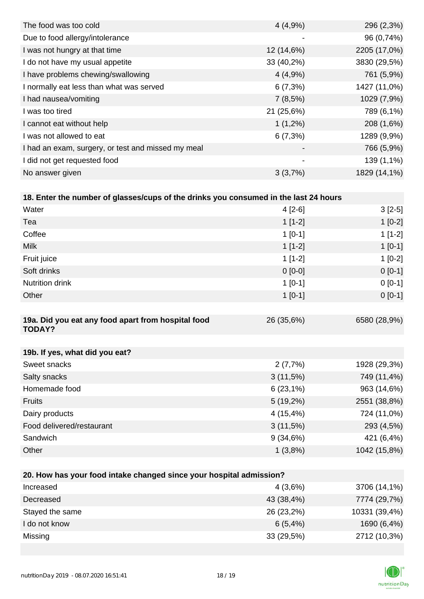| The food was too cold                              | 4(4,9%)                  | 296 (2,3%)   |
|----------------------------------------------------|--------------------------|--------------|
| Due to food allergy/intolerance                    | ٠                        | 96 (0,74%)   |
| I was not hungry at that time                      | 12 (14,6%)               | 2205 (17,0%) |
| I do not have my usual appetite                    | 33 (40,2%)               | 3830 (29,5%) |
| I have problems chewing/swallowing                 | 4(4,9%                   | 761 (5,9%)   |
| I normally eat less than what was served           | 6(7,3%)                  | 1427 (11,0%) |
| I had nausea/vomiting                              | 7(8,5%)                  | 1029 (7,9%)  |
| I was too tired                                    | 21 (25,6%)               | 789 (6,1%)   |
| I cannot eat without help                          | $1(1,2\%)$               | 208 (1,6%)   |
| I was not allowed to eat                           | 6(7,3%)                  | 1289 (9,9%)  |
| I had an exam, surgery, or test and missed my meal | $\overline{\phantom{0}}$ | 766 (5,9%)   |
| I did not get requested food                       | $\overline{\phantom{a}}$ | 139 (1,1%)   |
| No answer given                                    | 3(3,7%)                  | 1829 (14,1%) |
|                                                    |                          |              |

| 18. Enter the number of glasses/cups of the drinks you consumed in the last 24 hours |             |              |
|--------------------------------------------------------------------------------------|-------------|--------------|
| Water                                                                                | $4[2-6]$    | $3[2-5]$     |
| Tea                                                                                  | $1[1-2]$    | $1[0-2]$     |
| Coffee                                                                               | $1[0-1]$    | $1[1-2]$     |
| <b>Milk</b>                                                                          | $1[1-2]$    | $1 [0-1]$    |
| Fruit juice                                                                          | $1[1-2]$    | $1[0-2]$     |
| Soft drinks                                                                          | $0[0-0]$    | $0[0-1]$     |
| <b>Nutrition drink</b>                                                               | $1[0-1]$    | $0[0-1]$     |
| Other                                                                                | $1[0-1]$    | $0[0-1]$     |
|                                                                                      |             |              |
| 19a. Did you eat any food apart from hospital food<br><b>TODAY?</b>                  | 26 (35,6%)  | 6580 (28,9%) |
|                                                                                      |             |              |
| 19b. If yes, what did you eat?                                                       |             |              |
| Sweet snacks                                                                         | 2(7,7%)     | 1928 (29,3%) |
| Salty snacks                                                                         | 3(11,5%)    | 749 (11,4%)  |
| Homemade food                                                                        | 6(23,1%)    | 963 (14,6%)  |
| Fruits                                                                               | $5(19,2\%)$ | 2551 (38,8%) |
| Dairy products                                                                       | 4 (15,4%)   | 724 (11,0%)  |
| Food delivered/restaurant                                                            | 3(11,5%)    | 293 (4,5%)   |
| Sandwich                                                                             | 9(34,6%)    | 421 (6,4%)   |
| Other                                                                                | 1(3,8%)     | 1042 (15,8%) |
|                                                                                      |             |              |

| 20. How has your food intake changed since your hospital admission? |            |               |  |  |
|---------------------------------------------------------------------|------------|---------------|--|--|
| Increased                                                           | 4(3,6%)    | 3706 (14,1%)  |  |  |
| Decreased                                                           | 43 (38,4%) | 7774 (29,7%)  |  |  |
| Stayed the same                                                     | 26 (23,2%) | 10331 (39,4%) |  |  |
| I do not know                                                       | 6(5,4%)    | 1690 (6,4%)   |  |  |
| Missing                                                             | 33(29,5%)  | 2712 (10,3%)  |  |  |